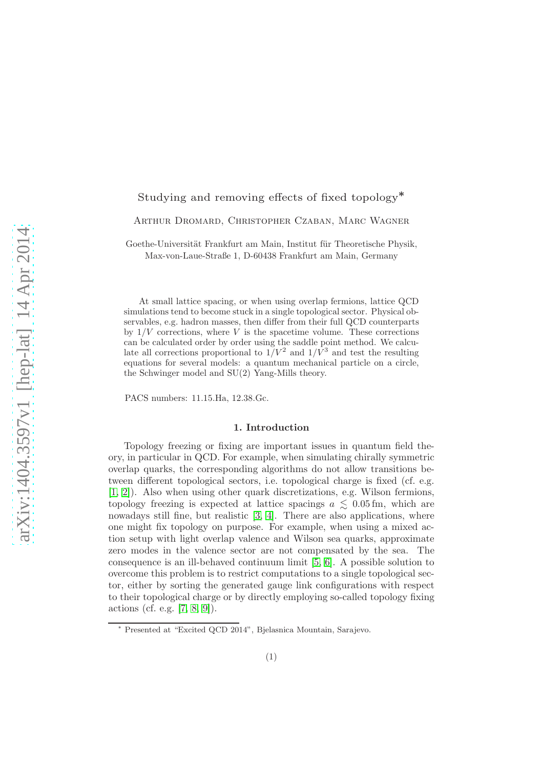# Studying and removing effects of fixed topology<sup>∗</sup>

Arthur Dromard, Christopher Czaban, Marc Wagner

Goethe-Universität Frankfurt am Main, Institut für Theoretische Physik, Max-von-Laue-Straße 1, D-60438 Frankfurt am Main, Germany

At small lattice spacing, or when using overlap fermions, lattice QCD simulations tend to become stuck in a single topological sector. Physical observables, e.g. hadron masses, then differ from their full QCD counterparts by  $1/V$  corrections, where V is the spacetime volume. These corrections can be calculated order by order using the saddle point method. We calculate all corrections proportional to  $1/V^2$  and  $1/\tilde{V}^3$  and test the resulting equations for several models: a quantum mechanical particle on a circle, the Schwinger model and SU(2) Yang-Mills theory.

PACS numbers: 11.15.Ha, 12.38.Gc.

# 1. Introduction

Topology freezing or fixing are important issues in quantum field theory, in particular in QCD. For example, when simulating chirally symmetric overlap quarks, the corresponding algorithms do not allow transitions between different topological sectors, i.e. topological charge is fixed (cf. e.g. [\[1,](#page-5-0) [2\]](#page-5-1)). Also when using other quark discretizations, e.g. Wilson fermions, topology freezing is expected at lattice spacings  $a \leq 0.05$  fm, which are nowadays still fine, but realistic [\[3,](#page-5-2) [4\]](#page-5-3). There are also applications, where one might fix topology on purpose. For example, when using a mixed action setup with light overlap valence and Wilson sea quarks, approximate zero modes in the valence sector are not compensated by the sea. The consequence is an ill-behaved continuum limit [\[5,](#page-5-4) [6\]](#page-5-5). A possible solution to overcome this problem is to restrict computations to a single topological sector, either by sorting the generated gauge link configurations with respect to their topological charge or by directly employing so-called topology fixing actions (cf. e.g. [\[7,](#page-5-6) [8,](#page-5-7) [9\]](#page-5-8)).

<sup>∗</sup> Presented at "Excited QCD 2014", Bjelasnica Mountain, Sarajevo.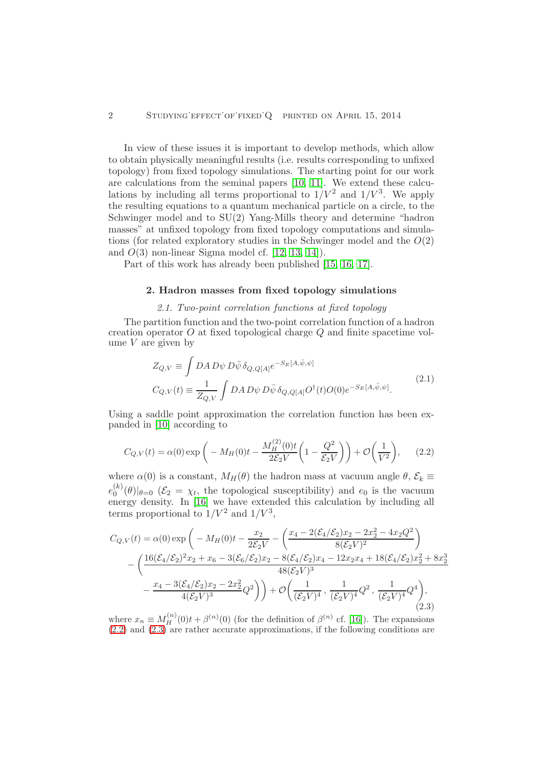In view of these issues it is important to develop methods, which allow to obtain physically meaningful results (i.e. results corresponding to unfixed topology) from fixed topology simulations. The starting point for our work are calculations from the seminal papers [\[10,](#page-5-9) [11\]](#page-5-10). We extend these calculations by including all terms proportional to  $1/V^2$  and  $1/V^3$ . We apply the resulting equations to a quantum mechanical particle on a circle, to the Schwinger model and to SU(2) Yang-Mills theory and determine "hadron masses" at unfixed topology from fixed topology computations and simulations (for related exploratory studies in the Schwinger model and the  $O(2)$ ) and  $O(3)$  non-linear Sigma model cf. [\[12,](#page-5-11) [13,](#page-5-12) [14\]](#page-5-13)).

Part of this work has already been published [\[15,](#page-5-14) [16,](#page-5-15) [17\]](#page-5-16).

#### 2. Hadron masses from fixed topology simulations

### 2.1. Two-point correlation functions at fixed topology

The partition function and the two-point correlation function of a hadron creation operator  $O$  at fixed topological charge  $Q$  and finite spacetime volume  $V$  are given by

$$
Z_{Q,V} \equiv \int DA D\psi D\bar{\psi} \delta_{Q,Q[A]} e^{-S_E[A,\bar{\psi},\psi]}
$$
  
\n
$$
C_{Q,V}(t) \equiv \frac{1}{Z_{Q,V}} \int DA D\psi D\bar{\psi} \delta_{Q,Q[A]} O^{\dagger}(t) O(0) e^{-S_E[A,\bar{\psi},\psi]}.
$$
\n(2.1)

Using a saddle point approximation the correlation function has been expanded in [\[10\]](#page-5-9) according to

<span id="page-1-0"></span>
$$
C_{Q,V}(t) = \alpha(0) \exp\bigg(-M_H(0)t - \frac{M_H^{(2)}(0)t}{2\mathcal{E}_2 V} \bigg(1 - \frac{Q^2}{\mathcal{E}_2 V}\bigg)\bigg) + \mathcal{O}\bigg(\frac{1}{V^2}\bigg),\qquad(2.2)
$$

where  $\alpha(0)$  is a constant,  $M_H(\theta)$  the hadron mass at vacuum angle  $\theta$ ,  $\mathcal{E}_k \equiv$  $e_0^{(k)}$  $\binom{N}{0}$  $\ket{\theta=0}$   $(\mathcal{E}_2 = \chi_t$ , the topological susceptibility) and  $e_0$  is the vacuum energy density. In [\[16\]](#page-5-15) we have extended this calculation by including all terms proportional to  $1/V^2$  and  $1/V^3$ ,

<span id="page-1-1"></span>
$$
C_{Q,V}(t) = \alpha(0) \exp\left(-M_H(0)t - \frac{x_2}{2\mathcal{E}_2 V} - \left(\frac{x_4 - 2(\mathcal{E}_4/\mathcal{E}_2)x_2 - 2x_2^2 - 4x_2Q^2}{8(\mathcal{E}_2 V)^2}\right)\right)
$$

$$
-\left(\frac{16(\mathcal{E}_4/\mathcal{E}_2)^2x_2 + x_6 - 3(\mathcal{E}_6/\mathcal{E}_2)x_2 - 8(\mathcal{E}_4/\mathcal{E}_2)x_4 - 12x_2x_4 + 18(\mathcal{E}_4/\mathcal{E}_2)x_2^2 + 8x_2^3}{48(\mathcal{E}_2 V)^3}\right)
$$

$$
-\frac{x_4 - 3(\mathcal{E}_4/\mathcal{E}_2)x_2 - 2x_2^2}{4(\mathcal{E}_2 V)^3}Q^2\right) + \mathcal{O}\left(\frac{1}{(\mathcal{E}_2 V)^4}, \frac{1}{(\mathcal{E}_2 V)^4}Q^2, \frac{1}{(\mathcal{E}_2 V)^4}Q^4\right),\tag{2.3}
$$

where  $x_n \equiv M_H^{(n)}(0)t + \beta^{(n)}(0)$  (for the definition of  $\beta^{(n)}$  cf. [\[16\]](#page-5-15)). The expansions [\(2.2\)](#page-1-0) and [\(2.3\)](#page-1-1) are rather accurate approximations, if the following conditions are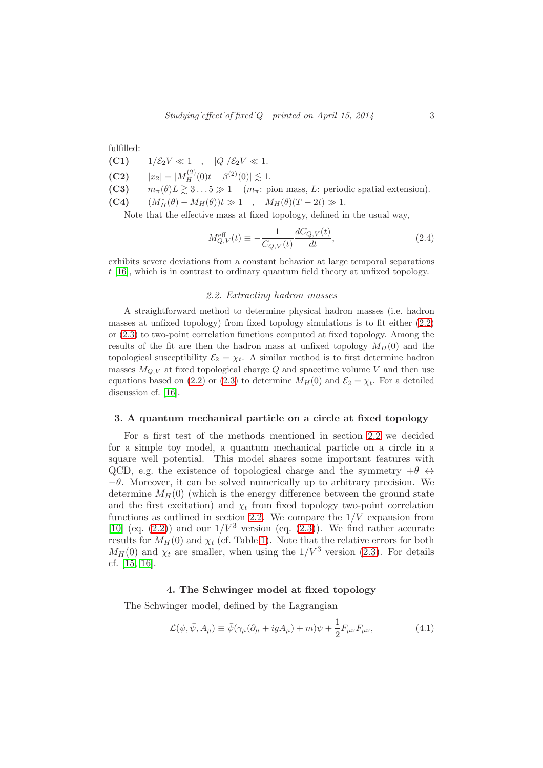fulfilled:

(C1)  $1/\mathcal{E}_2 V \ll 1$ ,  $|Q|/\mathcal{E}_2 V \ll 1$ .

- (C2)  $|x_2| = |M_H^{(2)}(0)t + \beta^{(2)}(0)| \lesssim 1.$
- (C3)  $m_{\pi}(\theta)L \gtrsim 3...5 \gg 1 \quad (m_{\pi}: \text{ pion mass}, L: \text{ periodic spatial extension}).$
- (C4)  $(M^*_{H}(\theta) M_{H}(\theta))t \gg 1$ ,  $M_{H}(\theta)(T 2t) \gg 1$ .

Note that the effective mass at fixed topology, defined in the usual way,

$$
M_{Q,V}^{\text{eff}}(t) \equiv -\frac{1}{C_{Q,V}(t)} \frac{dC_{Q,V}(t)}{dt},\tag{2.4}
$$

<span id="page-2-0"></span>exhibits severe deviations from a constant behavior at large temporal separations t [\[16\]](#page-5-15), which is in contrast to ordinary quantum field theory at unfixed topology.

#### 2.2. Extracting hadron masses

A straightforward method to determine physical hadron masses (i.e. hadron masses at unfixed topology) from fixed topology simulations is to fit either [\(2.2\)](#page-1-0) or [\(2.3\)](#page-1-1) to two-point correlation functions computed at fixed topology. Among the results of the fit are then the hadron mass at unfixed topology  $M_H(0)$  and the topological susceptibility  $\mathcal{E}_2 = \chi_t$ . A similar method is to first determine hadron masses  $M_{Q,V}$  at fixed topological charge  $Q$  and spacetime volume V and then use equations based on [\(2.2\)](#page-1-0) or [\(2.3\)](#page-1-1) to determine  $M_H(0)$  and  $\mathcal{E}_2 = \chi_t$ . For a detailed discussion cf. [\[16\]](#page-5-15).

#### 3. A quantum mechanical particle on a circle at fixed topology

For a first test of the methods mentioned in section [2.2](#page-2-0) we decided for a simple toy model, a quantum mechanical particle on a circle in a square well potential. This model shares some important features with QCD, e.g. the existence of topological charge and the symmetry  $+\theta \leftrightarrow$  $-\theta$ . Moreover, it can be solved numerically up to arbitrary precision. We determine  $M_H(0)$  (which is the energy difference between the ground state and the first excitation) and  $\chi_t$  from fixed topology two-point correlation functions as outlined in section [2.2.](#page-2-0) We compare the  $1/V$  expansion from [\[10\]](#page-5-9) (eq.  $(2.2)$ ) and our  $1/V^3$  version (eq.  $(2.3)$ ). We find rather accurate results for  $M_H(0)$  and  $\chi_t$  (cf. Table [1\)](#page-3-0). Note that the relative errors for both  $M_H(0)$  and  $\chi_t$  are smaller, when using the  $1/V^3$  version [\(2.3\)](#page-1-1). For details cf. [\[15,](#page-5-14) [16\]](#page-5-15).

#### 4. The Schwinger model at fixed topology

The Schwinger model, defined by the Lagrangian

$$
\mathcal{L}(\psi, \bar{\psi}, A_{\mu}) \equiv \bar{\psi}(\gamma_{\mu}(\partial_{\mu} + igA_{\mu}) + m)\psi + \frac{1}{2}F_{\mu\nu}F_{\mu\nu}, \qquad (4.1)
$$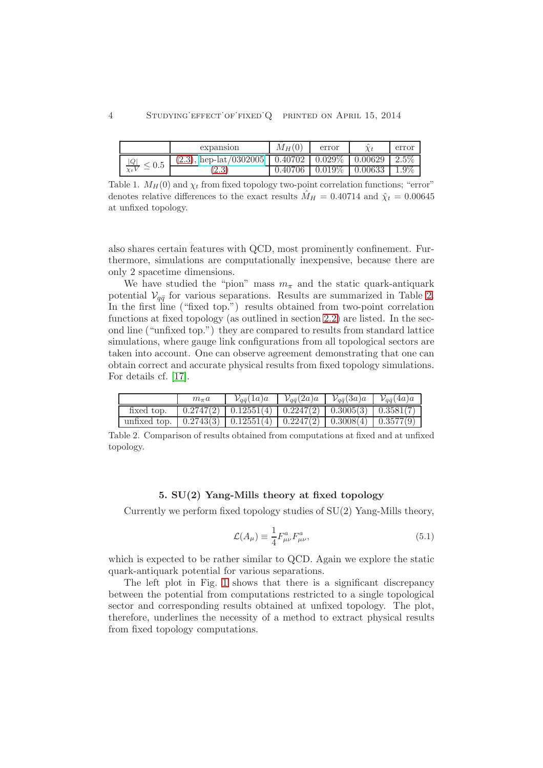|                           | expansion                    | $M_H(0)$             | error         |         | error   |
|---------------------------|------------------------------|----------------------|---------------|---------|---------|
| $\frac{ Q }{Y_tV}$<br>0.5 | $(2.3)$ , hep-lat $/0302005$ | $0.407\overline{02}$ | $\pm 0.029\%$ | 0.00629 | $2.5\%$ |
|                           | $\Omega$<br>$\overline{a}$ . | 0.40706              | $0.019\%$     | 0.00633 | $1.9\%$ |

<span id="page-3-0"></span>Table 1.  $M_H(0)$  and  $\chi_t$  from fixed topology two-point correlation functions; "error" denotes relative differences to the exact results  $\hat{M}_H = 0.40714$  and  $\hat{\chi}_t = 0.00645$ at unfixed topology.

also shares certain features with QCD, most prominently confinement. Furthermore, simulations are computationally inexpensive, because there are only 2 spacetime dimensions.

We have studied the "pion" mass  $m_{\pi}$  and the static quark-antiquark potential  $V_{q\bar{q}}$  for various separations. Results are summarized in Table [2.](#page-3-1) In the first line ("fixed top.") results obtained from two-point correlation functions at fixed topology (as outlined in section [2.2\)](#page-2-0) are listed. In the second line ("unfixed top.") they are compared to results from standard lattice simulations, where gauge link configurations from all topological sectors are taken into account. One can observe agreement demonstrating that one can obtain correct and accurate physical results from fixed topology simulations. For details cf. [\[17\]](#page-5-16).

|                                                                                                                                         | $m_{\pi}a$ | $\mathcal{V}_{q\bar q}(1a)a$ | $\mathcal{V}_{q\bar{q}}(2a)a$   $\mathcal{V}_{q\bar{q}}(3a)a$   $\mathcal{V}_{q\bar{q}}(4a)a$ |  |
|-----------------------------------------------------------------------------------------------------------------------------------------|------------|------------------------------|-----------------------------------------------------------------------------------------------|--|
| fixed top.                                                                                                                              |            |                              |                                                                                               |  |
| unfixed top. $\left(0.2743(3) \right) \left(0.12551(4) \right) \left(0.2247(2) \right) \left(0.3008(4) \right) \left(0.3577(9) \right)$ |            |                              |                                                                                               |  |

<span id="page-3-1"></span>Table 2. Comparison of results obtained from computations at fixed and at unfixed topology.

# 5. SU(2) Yang-Mills theory at fixed topology

Currently we perform fixed topology studies of SU(2) Yang-Mills theory,

$$
\mathcal{L}(A_{\mu}) \equiv \frac{1}{4} F^{a}_{\mu\nu} F^{a}_{\mu\nu}, \tag{5.1}
$$

which is expected to be rather similar to QCD. Again we explore the static quark-antiquark potential for various separations.

The left plot in Fig. [1](#page-4-0) shows that there is a significant discrepancy between the potential from computations restricted to a single topological sector and corresponding results obtained at unfixed topology. The plot, therefore, underlines the necessity of a method to extract physical results from fixed topology computations.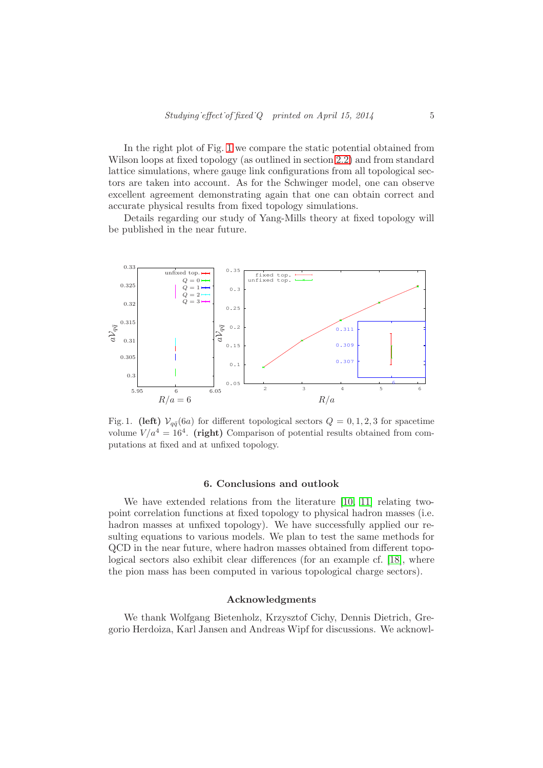In the right plot of Fig. [1](#page-4-0) we compare the static potential obtained from Wilson loops at fixed topology (as outlined in section [2.2\)](#page-2-0) and from standard lattice simulations, where gauge link configurations from all topological sectors are taken into account. As for the Schwinger model, one can observe excellent agreement demonstrating again that one can obtain correct and accurate physical results from fixed topology simulations.

Details regarding our study of Yang-Mills theory at fixed topology will be published in the near future.



<span id="page-4-0"></span>Fig. 1. (left)  $V_{q\bar{q}}(6a)$  for different topological sectors  $Q = 0, 1, 2, 3$  for spacetime volume  $V/a^4 = 16^4$ . (right) Comparison of potential results obtained from computations at fixed and at unfixed topology.

### 6. Conclusions and outlook

We have extended relations from the literature [\[10,](#page-5-9) [11\]](#page-5-10) relating twopoint correlation functions at fixed topology to physical hadron masses (i.e. hadron masses at unfixed topology). We have successfully applied our resulting equations to various models. We plan to test the same methods for QCD in the near future, where hadron masses obtained from different topological sectors also exhibit clear differences (for an example cf. [\[18\]](#page-5-17), where the pion mass has been computed in various topological charge sectors).

# Acknowledgments

We thank Wolfgang Bietenholz, Krzysztof Cichy, Dennis Dietrich, Gregorio Herdoiza, Karl Jansen and Andreas Wipf for discussions. We acknowl